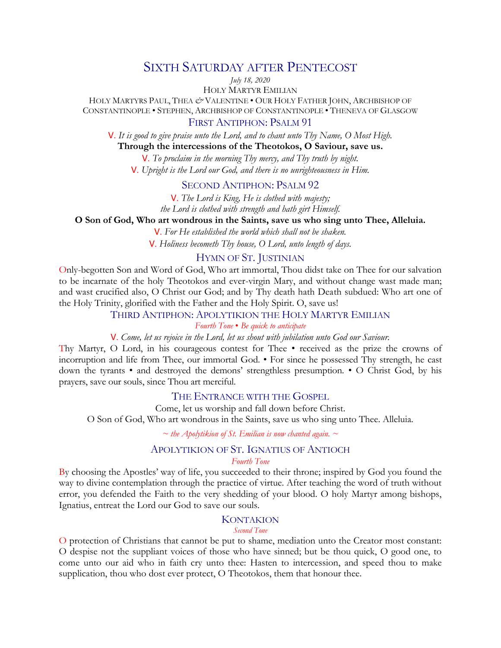# SIXTH SATURDAY AFTER PENTECOST

*July 18, 2020*

HOLY MARTYR EMILIAN

HOLY MARTYRS PAUL, THEA *&* VALENTINE • OUR HOLY FATHER JOHN, ARCHBISHOP OF CONSTANTINOPLE • STEPHEN, ARCHBISHOP OF CONSTANTINOPLE • THENEVA OF GLASGOW

# FIRST ANTIPHON: PSALM 91

V. *It is good to give praise unto the Lord, and to chant unto Thy Name, O Most High.*

**Through the intercessions of the Theotokos, O Saviour, save us.**

V. *To proclaim in the morning Thy mercy, and Thy truth by night.*  V. *Upright is the Lord our God, and there is no unrighteousness in Him.* 

# SECOND ANTIPHON: PSALM 92

V. *The Lord is King, He is clothed with majesty; the Lord is clothed with strength and hath girt Himself.* 

# **O Son of God, Who art wondrous in the Saints, save us who sing unto Thee, Alleluia.**

V. *For He established the world which shall not be shaken.*  V. *Holiness becometh Thy house, O Lord, unto length of days.* 

# HYMN OF ST. JUSTINIAN

Only-begotten Son and Word of God, Who art immortal, Thou didst take on Thee for our salvation to be incarnate of the holy Theotokos and ever-virgin Mary, and without change wast made man; and wast crucified also, O Christ our God; and by Thy death hath Death subdued: Who art one of the Holy Trinity, glorified with the Father and the Holy Spirit. O, save us!

### THIRD ANTIPHON: APOLYTIKION THE HOLY MARTYR EMILIAN

*Fourth Tone* • *Be quick to anticipate*

### V. *Come, let us rejoice in the Lord, let us shout with jubilation unto God our Saviour.*

Thy Martyr, O Lord, in his courageous contest for Thee • received as the prize the crowns of incorruption and life from Thee, our immortal God. • For since he possessed Thy strength, he cast down the tyrants • and destroyed the demons' strengthless presumption. • O Christ God, by his prayers, save our souls, since Thou art merciful.

### THE ENTRANCE WITH THE GOSPEL

Come, let us worship and fall down before Christ. O Son of God, Who art wondrous in the Saints, save us who sing unto Thee. Alleluia.

*~ the Apolytikion of St. Emilian is now chanted again. ~*

#### APOLYTIKION OF ST. IGNATIUS OF ANTIOCH *Fourth Tone*

By choosing the Apostles' way of life, you succeeded to their throne; inspired by God you found the way to divine contemplation through the practice of virtue. After teaching the word of truth without error, you defended the Faith to the very shedding of your blood. O holy Martyr among bishops, Ignatius, entreat the Lord our God to save our souls.

#### **KONTAKION**

#### *Second Tone*

O protection of Christians that cannot be put to shame, mediation unto the Creator most constant: O despise not the suppliant voices of those who have sinned; but be thou quick, O good one, to come unto our aid who in faith cry unto thee: Hasten to intercession, and speed thou to make supplication, thou who dost ever protect, O Theotokos, them that honour thee.